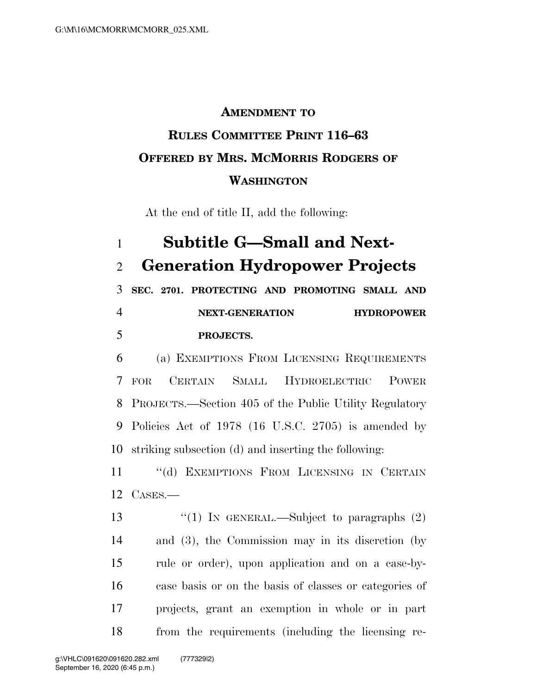## **AMENDMENT TO RULES COMMITTEE PRINT 116–63 OFFERED BY MRS. MCMORRIS RODGERS OF WASHINGTON**

At the end of title II, add the following:

## **Subtitle G—Small and Next-Generation Hydropower Projects**

 **SEC. 2701. PROTECTING AND PROMOTING SMALL AND NEXT-GENERATION HYDROPOWER PROJECTS.** 

 (a) EXEMPTIONS FROM LICENSING REQUIREMENTS FOR CERTAIN SMALL HYDROELECTRIC POWER PROJECTS.—Section 405 of the Public Utility Regulatory Policies Act of 1978 (16 U.S.C. 2705) is amended by striking subsection (d) and inserting the following:

 ''(d) EXEMPTIONS FROM LICENSING IN CERTAIN CASES.—

 $\frac{1}{2}$  (1) In GENERAL.—Subject to paragraphs (2) and (3), the Commission may in its discretion (by rule or order), upon application and on a case-by- case basis or on the basis of classes or categories of projects, grant an exemption in whole or in part from the requirements (including the licensing re-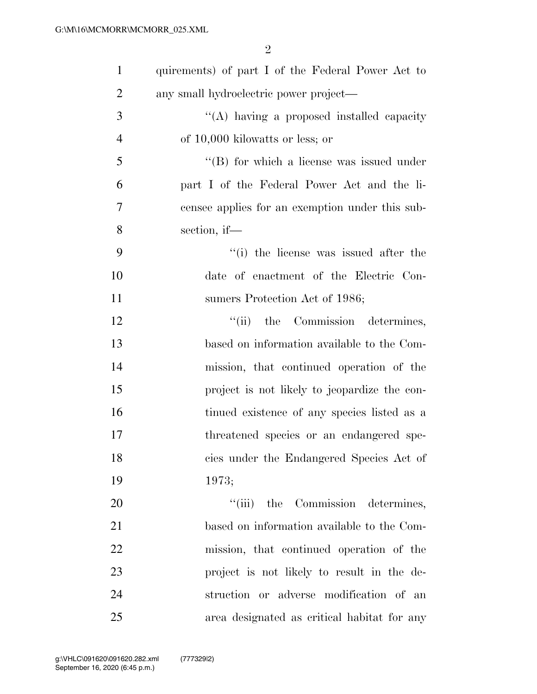| $\mathbf{1}$   | quirements) of part I of the Federal Power Act to |
|----------------|---------------------------------------------------|
| $\overline{2}$ | any small hydroelectric power project—            |
| 3              | "(A) having a proposed installed capacity         |
| $\overline{4}$ | of 10,000 kilowatts or less; or                   |
| 5              | "(B) for which a license was issued under         |
| 6              | part I of the Federal Power Act and the li-       |
| 7              | censee applies for an exemption under this sub-   |
| 8              | section, if $-$                                   |
| 9              | "(i) the license was issued after the             |
| 10             | date of enactment of the Electric Con-            |
| 11             | sumers Protection Act of 1986;                    |
| 12             | "(ii) the Commission determines,                  |
| 13             | based on information available to the Com-        |
| 14             | mission, that continued operation of the          |
| 15             | project is not likely to jeopardize the con-      |
| 16             | tinued existence of any species listed as a       |
| 17             | threatened species or an endangered spe-          |
| 18             | cies under the Endangered Species Act of          |
| 19             | 1973;                                             |
| 20             | "(iii) the Commission determines,                 |
| 21             | based on information available to the Com-        |
| 22             | mission, that continued operation of the          |
| 23             | project is not likely to result in the de-        |
| 24             | struction or adverse modification of an           |
| 25             | area designated as critical habitat for any       |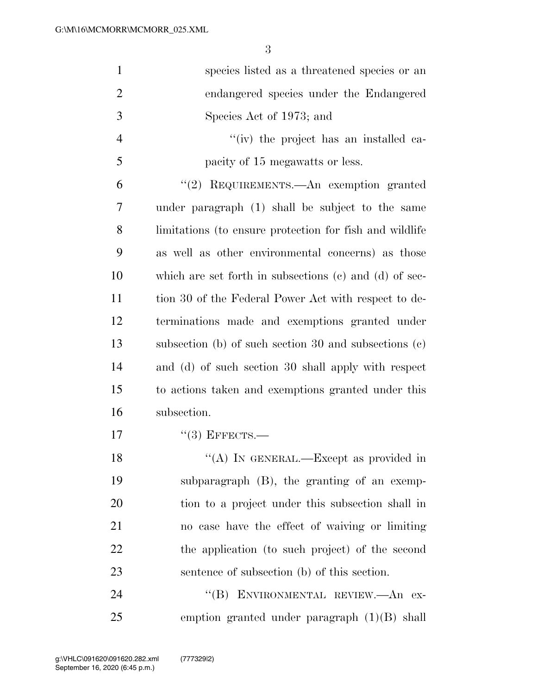| $\mathbf{1}$   | species listed as a threatened species or an               |
|----------------|------------------------------------------------------------|
| $\overline{2}$ | endangered species under the Endangered                    |
| 3              | Species Act of 1973; and                                   |
| 4              | "(iv) the project has an installed ca-                     |
| 5              | pacity of 15 megawatts or less.                            |
| 6              | "(2) REQUIREMENTS.—An exemption granted                    |
| 7              | under paragraph (1) shall be subject to the same           |
| 8              | limitations (to ensure protection for fish and wildlife    |
| 9              | as well as other environmental concerns) as those          |
| 10             | which are set forth in subsections $(c)$ and $(d)$ of sec- |
| 11             | tion 30 of the Federal Power Act with respect to de-       |
| 12             | terminations made and exemptions granted under             |
| 13             | subsection (b) of such section 30 and subsections $(c)$    |
| 14             | and (d) of such section 30 shall apply with respect        |
| 15             | to actions taken and exemptions granted under this         |
| 16             | subsection.                                                |
| 17             | $``(3)$ EFFECTS.—                                          |
| 18             | "(A) IN GENERAL.—Except as provided in                     |
| 19             | subparagraph (B), the granting of an exemp-                |
| <b>20</b>      | tion to a project under this subsection shall in           |
| 21             | no case have the effect of waiving or limiting             |
| 22             | the application (to such project) of the second            |
| 23             | sentence of subsection (b) of this section.                |
| 24             | ENVIRONMENTAL REVIEW.- An ex-<br>$\lq\lq (B)$              |
| 25             | emption granted under paragraph $(1)(B)$ shall             |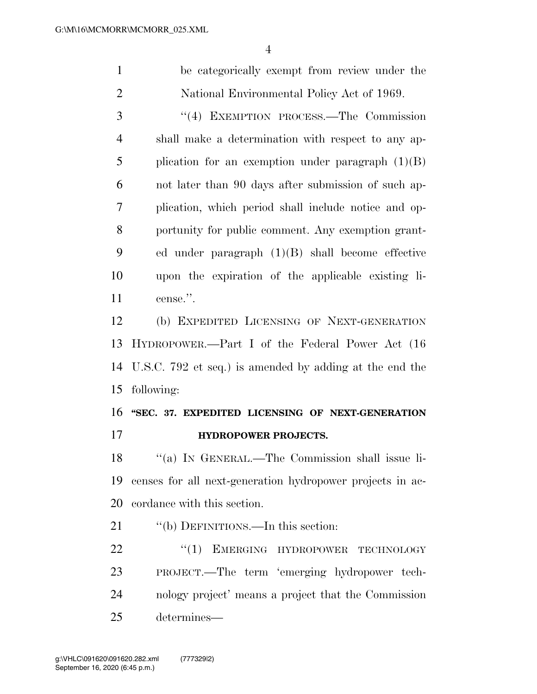be categorically exempt from review under the National Environmental Policy Act of 1969.

 ''(4) EXEMPTION PROCESS.—The Commission shall make a determination with respect to any ap-5 plication for an exemption under paragraph  $(1)(B)$  not later than 90 days after submission of such ap- plication, which period shall include notice and op- portunity for public comment. Any exemption grant- ed under paragraph (1)(B) shall become effective upon the expiration of the applicable existing li-cense.''.

 (b) EXPEDITED LICENSING OF NEXT-GENERATION HYDROPOWER.—Part I of the Federal Power Act (16 U.S.C. 792 et seq.) is amended by adding at the end the following:

## **''SEC. 37. EXPEDITED LICENSING OF NEXT-GENERATION**

**HYDROPOWER PROJECTS.** 

 ''(a) IN GENERAL.—The Commission shall issue li- censes for all next-generation hydropower projects in ac-cordance with this section.

21 "(b) DEFINITIONS.—In this section:

22 "(1) EMERGING HYDROPOWER TECHNOLOGY PROJECT.—The term 'emerging hydropower tech- nology project' means a project that the Commission determines—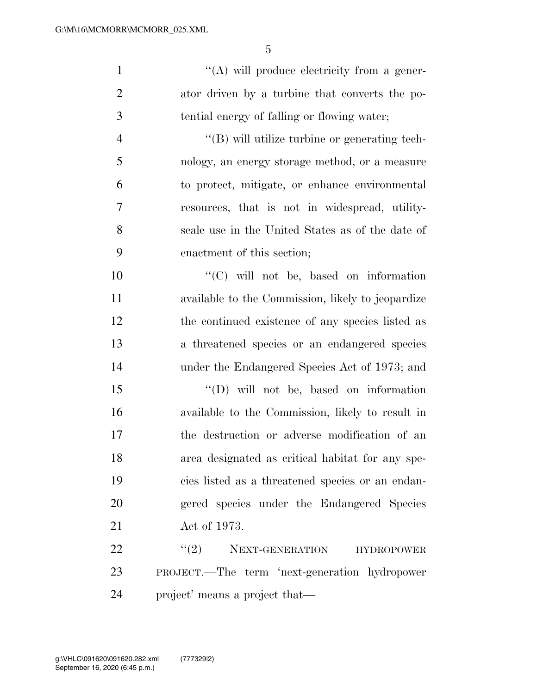$\langle (A)$  will produce electricity from a gener- ator driven by a turbine that converts the po- tential energy of falling or flowing water; ''(B) will utilize turbine or generating tech-

 nology, an energy storage method, or a measure to protect, mitigate, or enhance environmental resources, that is not in widespread, utility- scale use in the United States as of the date of enactment of this section;

 $\lq\lq$  (C) will not be, based on information available to the Commission, likely to jeopardize the continued existence of any species listed as a threatened species or an endangered species under the Endangered Species Act of 1973; and

 ''(D) will not be, based on information available to the Commission, likely to result in the destruction or adverse modification of an area designated as critical habitat for any spe- cies listed as a threatened species or an endan- gered species under the Endangered Species Act of 1973.

22 "(2) NEXT-GENERATION HYDROPOWER PROJECT.—The term 'next-generation hydropower project' means a project that—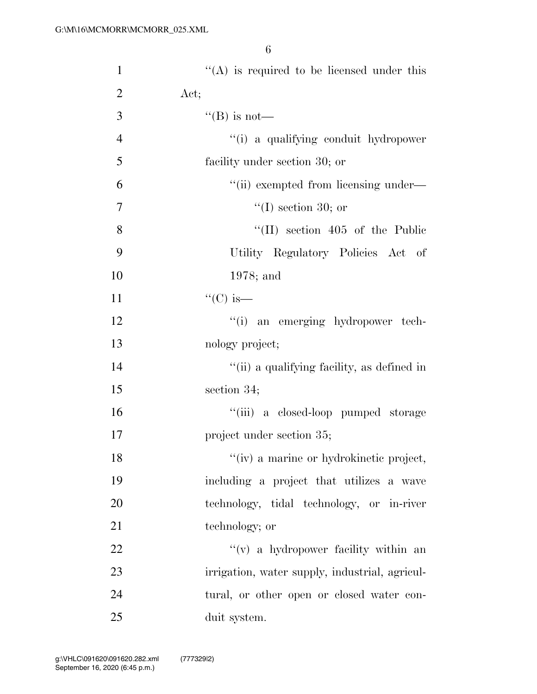| $\mathbf{1}$   | $\cdot$ (A) is required to be licensed under this |
|----------------|---------------------------------------------------|
| $\overline{2}$ | Act;                                              |
| 3              | "(B) is not—                                      |
| $\overline{4}$ | "(i) a qualifying conduit hydropower              |
| 5              | facility under section 30; or                     |
| 6              | "(ii) exempted from licensing under—              |
| $\tau$         | $\lq(1)$ section 30; or                           |
| 8              | $\lq\lq$ (II) section 405 of the Public           |
| 9              | Utility Regulatory Policies Act of                |
| 10             | $1978$ ; and                                      |
| 11             | " $(C)$ is—                                       |
| 12             | "(i) an emerging hydropower tech-                 |
| 13             | nology project;                                   |
| 14             | "(ii) a qualifying facility, as defined in        |
| 15             | section 34;                                       |
| 16             | "(iii) a closed-loop pumped storage               |
| 17             | project under section 35;                         |
| 18             | "(iv) a marine or hydrokinetic project,           |
| 19             | including a project that utilizes a wave          |
| 20             | technology, tidal technology, or in-river         |
| 21             | technology; or                                    |
| 22             | $f'(v)$ a hydropower facility within an           |
| 23             | irrigation, water supply, industrial, agricul-    |
| 24             | tural, or other open or closed water con-         |
| 25             | duit system.                                      |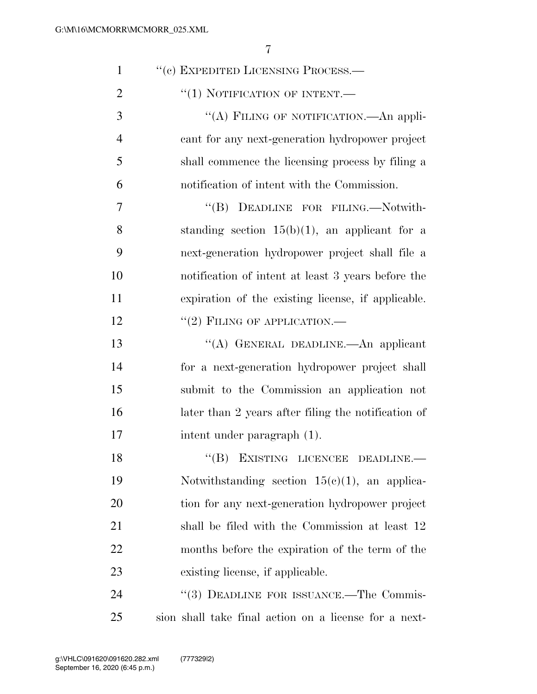| $\mathbf{1}$   | "(c) EXPEDITED LICENSING PROCESS.—                    |
|----------------|-------------------------------------------------------|
| $\overline{2}$ | $``(1)$ NOTIFICATION OF INTENT.—                      |
| 3              | "(A) FILING OF NOTIFICATION.—An appli-                |
| $\overline{4}$ | cant for any next-generation hydropower project       |
| 5              | shall commence the licensing process by filing a      |
| 6              | notification of intent with the Commission.           |
| 7              | "(B) DEADLINE FOR FILING.—Notwith-                    |
| 8              | standing section $15(b)(1)$ , an applicant for a      |
| 9              | next-generation hydropower project shall file a       |
| 10             | notification of intent at least 3 years before the    |
| 11             | expiration of the existing license, if applicable.    |
| 12             | $``(2)$ FILING OF APPLICATION.—                       |
| 13             | "(A) GENERAL DEADLINE. An applicant                   |
| 14             | for a next-generation hydropower project shall        |
| 15             | submit to the Commission an application not           |
| 16             | later than 2 years after filing the notification of   |
| 17             | intent under paragraph (1).                           |
| 18             | "(B) EXISTING LICENCEE DEADLINE.-                     |
| 19             | Notwithstanding section $15(c)(1)$ , an applica-      |
| 20             | tion for any next-generation hydropower project       |
| 21             | shall be filed with the Commission at least 12        |
| 22             | months before the expiration of the term of the       |
| 23             | existing license, if applicable.                      |
| 24             | "(3) DEADLINE FOR ISSUANCE.—The Commis-               |
| 25             | sion shall take final action on a license for a next- |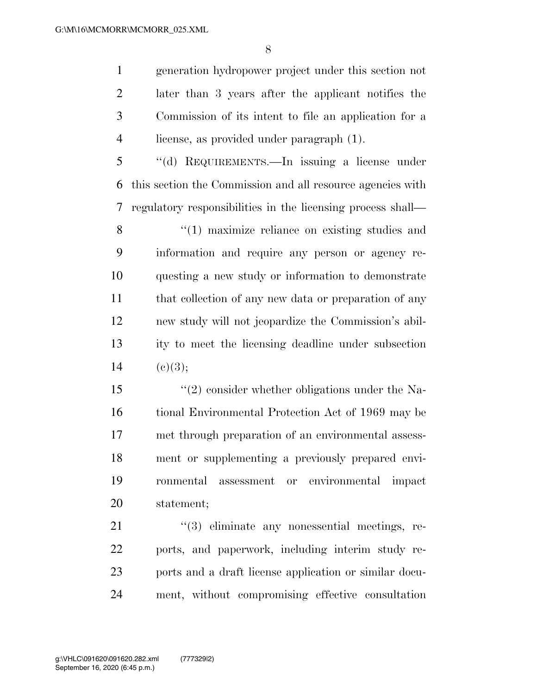generation hydropower project under this section not later than 3 years after the applicant notifies the Commission of its intent to file an application for a license, as provided under paragraph (1).

 ''(d) REQUIREMENTS.—In issuing a license under this section the Commission and all resource agencies with regulatory responsibilities in the licensing process shall—

8 "(1) maximize reliance on existing studies and information and require any person or agency re- questing a new study or information to demonstrate 11 that collection of any new data or preparation of any new study will not jeopardize the Commission's abil- ity to meet the licensing deadline under subsection 14 (c)(3);

 ''(2) consider whether obligations under the Na- tional Environmental Protection Act of 1969 may be met through preparation of an environmental assess- ment or supplementing a previously prepared envi- ronmental assessment or environmental impact statement;

21 ''(3) eliminate any nonessential meetings, re- ports, and paperwork, including interim study re- ports and a draft license application or similar docu-ment, without compromising effective consultation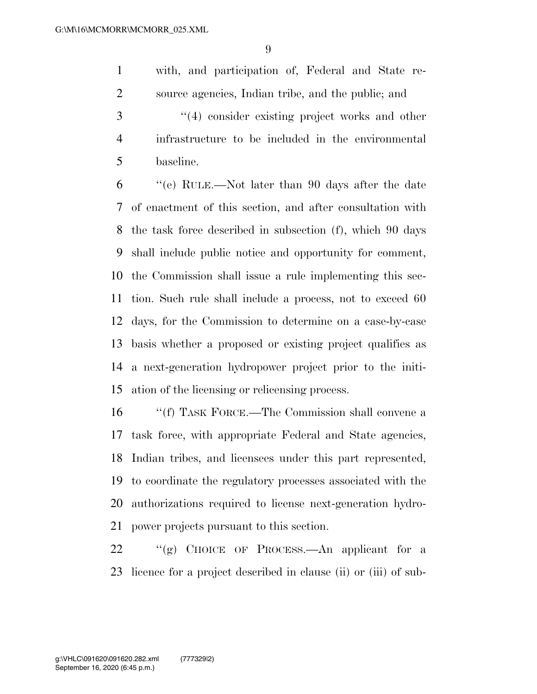with, and participation of, Federal and State re-source agencies, Indian tribe, and the public; and

3 ''(4) consider existing project works and other infrastructure to be included in the environmental baseline.

 ''(e) RULE.—Not later than 90 days after the date of enactment of this section, and after consultation with the task force described in subsection (f), which 90 days shall include public notice and opportunity for comment, the Commission shall issue a rule implementing this sec- tion. Such rule shall include a process, not to exceed 60 days, for the Commission to determine on a case-by-case basis whether a proposed or existing project qualifies as a next-generation hydropower project prior to the initi-ation of the licensing or relicensing process.

 ''(f) TASK FORCE.—The Commission shall convene a task force, with appropriate Federal and State agencies, Indian tribes, and licensees under this part represented, to coordinate the regulatory processes associated with the authorizations required to license next-generation hydro-power projects pursuant to this section.

 ''(g) CHOICE OF PROCESS.—An applicant for a licence for a project described in clause (ii) or (iii) of sub-